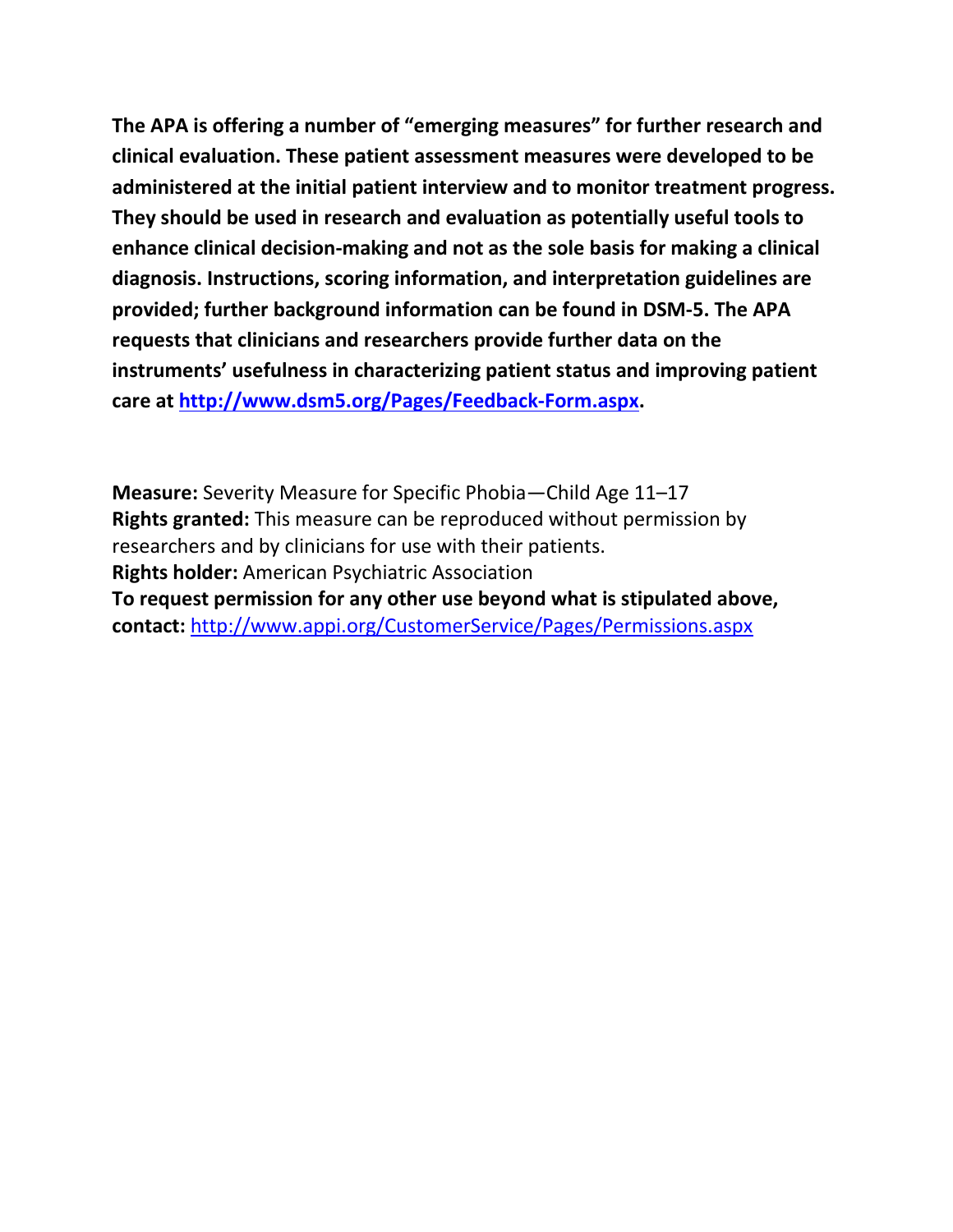**The APA is offering a number of "emerging measures" for further research and clinical evaluation. These patient assessment measures were developed to be administered at the initial patient interview and to monitor treatment progress. They should be used in research and evaluation as potentially useful tools to enhance clinical decision-making and not as the sole basis for making a clinical diagnosis. Instructions, scoring information, and interpretation guidelines are provided; further background information can be found in DSM-5. The APA requests that clinicians and researchers provide further data on the instruments' usefulness in characterizing patient status and improving patient care at [http://www.dsm5.org/Pages/Feedback-Form.aspx.](http://www.dsm5.org/Pages/Feedback-Form.aspx)**

**Measure:** Severity Measure for Specific Phobia—Child Age 11–17 **Rights granted:** This measure can be reproduced without permission by researchers and by clinicians for use with their patients. **Rights holder:** American Psychiatric Association **To request permission for any other use beyond what is stipulated above, contact:** <http://www.appi.org/CustomerService/Pages/Permissions.aspx>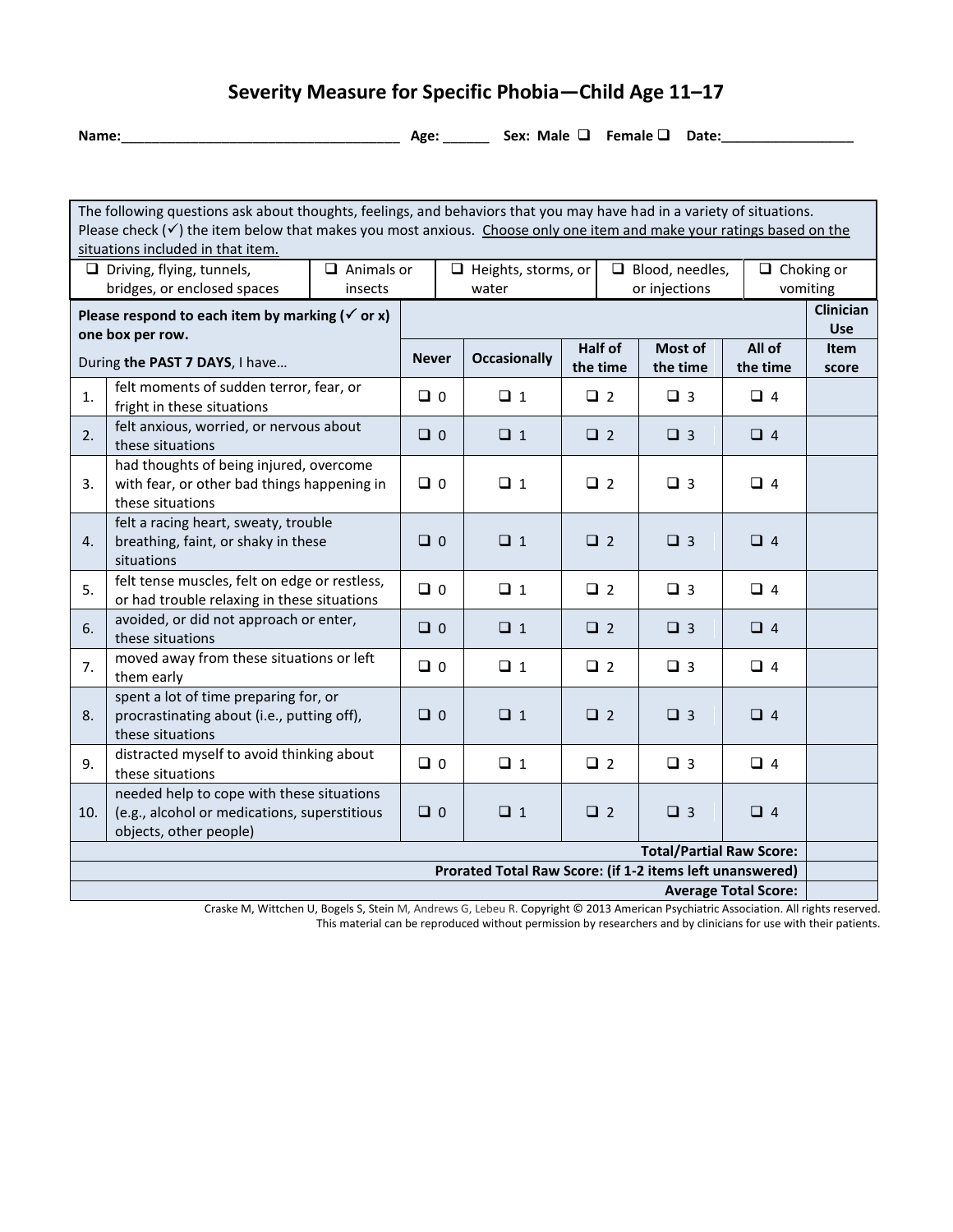## **Severity Measure for Specific Phobia—Child Age 11–17**

**Name:**\_\_\_\_\_\_\_\_\_\_\_\_\_\_\_\_\_\_\_\_\_\_\_\_\_\_\_\_\_\_\_\_\_\_\_\_ **Age:** \_\_\_\_\_\_ **Sex: Male Female Date:\_\_\_\_\_\_\_\_\_\_\_\_\_\_\_\_\_**

The following questions ask about thoughts, feelings, and behaviors that you may have had in a variety of situations. Please check  $(v)$  the item below that makes you most anxious. Choose only one item and make your ratings based on the situations included in that item.  $\Box$  Driving, flying, tunnels, bridges, or enclosed spaces □ Animals or insects  $\Box$  Heights, storms, or water  $\Box$  Blood, needles, or injections  $\Box$  Choking or vomiting Please respond to each item by marking  $({\checkmark})$  or x) **one box per row.**  During **the PAST 7 DAYS**, I have… **Clinician Use Never Occasionally Half of the time Most of the time All of the time Item score** 1.  $\left| \right|$  felt moments of sudden terror, fear, or fright in these situations  $\begin{bmatrix} 2 & 0 \\ 0 & 0 \end{bmatrix}$   $\begin{bmatrix} 2 & 1 \\ 0 & 1 \end{bmatrix}$   $\begin{bmatrix} 2 & 3 \\ 3 & 4 \end{bmatrix}$   $\begin{bmatrix} 2 & 4 \\ 0 & 3 \end{bmatrix}$ 2.  $\left| \begin{array}{c} \text{felt anxious, worried, or nervous about} \\ \text{these situations} \end{array} \right|$ these situations  $\begin{bmatrix} 0 & 0 \\ 0 & 1 \end{bmatrix}$   $\begin{bmatrix} 0 & 0 \\ 0 & 1 \end{bmatrix}$   $\begin{bmatrix} 0 & 0 \\ 0 & 2 \end{bmatrix}$   $\begin{bmatrix} 0 & 3 \\ 0 & 3 \end{bmatrix}$   $\begin{bmatrix} 0 & 4 \\ 0 & 4 \end{bmatrix}$ 3. had thoughts of being injured, overcome with fear, or other bad things happening in these situations 0 1 2 3 4 4. felt a racing heart, sweaty, trouble breathing, faint, or shaky in these situations 0 1 2 3 4 5. felt tense muscles, felt on edge or restless, or had trouble relaxing in these situations  $\begin{bmatrix} 0 & 0 \\ 0 & 1 \end{bmatrix}$   $\begin{bmatrix} 0 & 2 \\ 0 & 3 \end{bmatrix}$   $\begin{bmatrix} 0 & 3 \\ 0 & 4 \end{bmatrix}$ 6.  $\left| \right|$  avoided, or did not approach or enter,<br>these situations these situations <sup>0</sup> <sup>1</sup> <sup>2</sup> <sup>3</sup> <sup>4</sup> 7. moved away from these situations or left them early them early <sup>0</sup> <sup>1</sup> <sup>2</sup> <sup>3</sup> <sup>4</sup> 8. spent a lot of time preparing for, or procrastinating about (i.e., putting off), these situations 0 1 2 3 4 9. distracted myself to avoid thinking about these situations these situations  $\begin{bmatrix} 0 & 0 & 0 & 0 \\ 0 & 0 & 0 & 0 \\ 0 & 0 & 0 & 0 \\ 0 & 0 & 0 & 0 \\ 0 & 0 & 0 & 0 \\ 0 & 0 & 0 & 0 \\ 0 & 0 & 0 & 0 \\ 0 & 0 & 0 & 0 \\ 0 & 0 & 0 & 0 \\ 0 & 0 & 0 & 0 \\ 0 & 0 & 0 & 0 \\ 0 & 0 & 0 & 0 \\ 0 & 0 & 0 & 0 \\ 0 & 0 & 0 & 0 \\ 0 & 0 & 0 & 0 & 0 \\ 0 & 0 & 0 & 0 & 0$ 10. needed help to cope with these situations (e.g., alcohol or medications, superstitious objects, other people) 0 1 2 3 4 **Total/Partial Raw Score: Prorated Total Raw Score: (if 1-2 items left unanswered) Average Total Score:**

Craske M, Wittchen U, Bogels S, Stein M, Andrews G, Lebeu R. Copyright © 2013 American Psychiatric Association. All rights reserved. This material can be reproduced without permission by researchers and by clinicians for use with their patients.